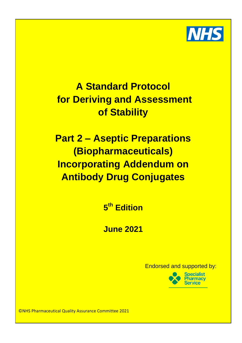

# In the purchase of Stability and the purchase of the purchase of the remit of the remit of the remit of the remi Chief Pharmacist (or similar title e.g. Clinical Director of Pharmacy) as the person **A Standard Protocol for Deriving and Assessment**

<u>EEC Dart 2 - Acontic Dronarations and Details and Details and Details are th</u> substances which may be administered to human beings or animals with a view to **Part 2 – Aseptic Preparations** making a medical diagnosis or to restoring, correcting or modifying physiological functions in this definition of animals of animals therefore, a position, and the forest or animals of animals the  $\alpha$ radiopharmaceuticals are medicines. **Incorporating Addendum on** to carry out the purchase of medicinal purchase, receipt and subsequent storage of medicinal products until  $\alpha$ **Prescript of a ward or department. However, radiopharmaceutical conservations** 

2. The products are often purchased for use the same day, and are regularly **5 th Edition**

4. Any disposal requires a particular process **June 2021**

Endorsed and supported by:



©NHS Pharmaceutical Quality Assurance Committee 2021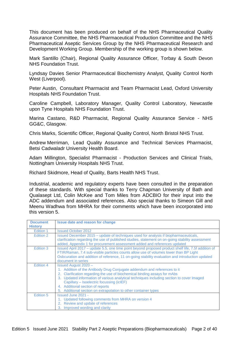This document has been produced on behalf of the NHS Pharmaceutical Quality Assurance Committee, the NHS Pharmaceutical Production Committee and the NHS Pharmaceutical Aseptic Services Group by the NHS Pharmaceutical Research and Development Working Group. Membership of the working group is shown below.

Mark Santillo (Chair), Regional Quality Assurance Officer, Torbay & South Devon NHS Foundation Trust.

Lyndsay Davies Senior Pharmaceutical Biochemistry Analyst, Quality Control North West (Liverpool).

Peter Austin, Consultant Pharmacist and Team Pharmacist Lead, Oxford University Hospitals NHS Foundation Trust.

Caroline Campbell, Laboratory Manager, Quality Control Laboratory, Newcastle upon Tyne Hospitals NHS Foundation Trust.

Marina Castano, R&D Pharmacist, Regional Quality Assurance Service - NHS GG&C, Glasgow.

Chris Marks, Scientific Officer, Regional Quality Control, North Bristol NHS Trust.

Andrew Merriman, Lead Quality Assurance and Technical Services Pharmacist, Betsi Cadwaladr University Health Board.

Adam Millington, Specialist Pharmacist - Production Services and Clinical Trials, Nottingham University Hospitals NHS Trust.

Richard Skidmore, Head of Quality, Barts Health NHS Trust.

Industrial, academic and regulatory experts have been consulted in the preparation of these standards. With special thanks to Terry Chapman University of Bath and Qualasept Ltd, Colin McKee and Tom Miles from ADCBIO for their input into the ADC addendum and associated references. Also special thanks to Simeon Gill and Meenu Wadhwa from MHRA for their comments which have been incorporated into this version 5.

| <b>Document</b><br><b>History</b> | <b>Issue date and reason for change</b>                                                                                                                                                                                                                                                                                                                                                                                               |
|-----------------------------------|---------------------------------------------------------------------------------------------------------------------------------------------------------------------------------------------------------------------------------------------------------------------------------------------------------------------------------------------------------------------------------------------------------------------------------------|
| Edition 1                         | <b>Issued October 2012</b>                                                                                                                                                                                                                                                                                                                                                                                                            |
| Edition 2                         | Issued December 2015 – update of techniques used for analysis if biopharmaceuticals,<br>clarification regarding the use of published studies, statement on on-going stability assessment<br>added, Appendix 1 for procurement assessment added and references updated                                                                                                                                                                 |
| Edition 3                         | Issued April 2017 – update 5.5, one time point beyond proposed product shelf life, 7.5f addition of<br>FTIR/Raman, 7.4 sub-visible particles counts allow use of volumes lower than BP Light<br>Osbcuration and addition of reference, 11 on-going stability evaluation and introduction updated<br>document in series                                                                                                                |
| Edition 4                         | <b>Issued August 2020 -</b><br>1. Addition of the Antibody Drug Conjugate addendum and references to it<br>2. Clarification regarding the use of biochemical binding assays for mAbs<br>3. Updated information of various analytical techniques including section to cover Imaged<br>Capillary - Isoelectric focussing (icIEF)<br>4. Additional section of reports<br>5. Additional section on extrapolation to other container types |
| Edition 5                         | <b>Issued June 2021 -</b><br>1. Updated following comments from MHRA on version 4<br>2. Review and update of references<br>Improved wording and clarity<br>3.                                                                                                                                                                                                                                                                         |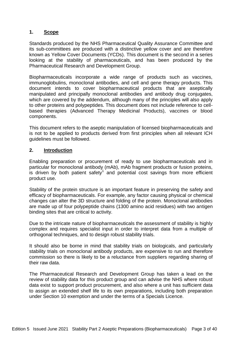#### **1. Scope**

Standards produced by the NHS Pharmaceutical Quality Assurance Committee and its sub-committees are produced with a distinctive yellow cover and are therefore known as Yellow Cover Documents (YCDs). This document is the second in a series looking at the stability of pharmaceuticals, and has been produced by the Pharmaceutical Research and Development Group.

Biopharmaceuticals incorporate a wide range of products such as vaccines, immunoglobulins, monoclonal antibodies, and cell and gene therapy products. This document intends to cover biopharmaceutical products that are aseptically manipulated and principally monoclonal antibodies and antibody drug conjugates, which are covered by the addendum, although many of the principles will also apply to other proteins and polypeptides. This document does not include reference to cellbased therapies (Advanced Therapy Medicinal Products), vaccines or blood components.

This document refers to the aseptic manipulation of licensed biopharmaceuticals and is not to be applied to products derived from first principles when all relevant ICH guidelines must be followed.

#### **2. Introduction**

Enabling preparation or procurement of ready to use biopharmaceuticals and in particular for monoclonal antibody (mAb), mAb fragment products or fusion proteins, is driven by both patient safety<sup>1</sup> and potential cost savings from more efficient product use.

Stability of the protein structure is an important feature in preserving the safety and efficacy of biopharmaceuticals. For example, any factor causing physical or chemical changes can alter the 3D structure and folding of the protein. Monoclonal antibodies are made up of four polypeptide chains (1300 amino acid residues) with two antigen binding sites that are critical to activity.

Due to the intricate nature of biopharmaceuticals the assessment of stability is highly complex and requires specialist input in order to interpret data from a multiple of orthogonal techniques, and to design robust stability trials.

It should also be borne in mind that stability trials on biologicals, and particularly stability trials on monoclonal antibody products, are expensive to run and therefore commission so there is likely to be a reluctance from suppliers regarding sharing of their raw data.

The Pharmaceutical Research and Development Group has taken a lead on the review of stability data for this product group and can advise the NHS where robust data exist to support product procurement, and also where a unit has sufficient data to assign an extended shelf life to its own preparations, including both preparation under Section 10 exemption and under the terms of a Specials Licence.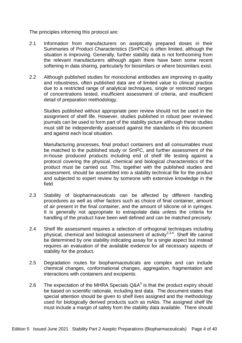The principles informing this protocol are:

- 2.1 Information from manufacturers on aseptically prepared doses in their Summaries of Product Characteristics (SmPCs) is often limited, although the situation is improving. Generally, further stability data is not forthcoming from the relevant manufacturers although again there have been some recent softening in data sharing, particularly for biosimilars or where biosimilars exist.
- 2.2 Although published studies for monoclonal antibodies are improving in quality and robustness, often published data are of limited value to clinical practice due to a restricted range of analytical techniques, single or restricted ranges of concentrations tested, insufficient assessment of criteria, and insufficient detail of preparation methodology.

Studies published without appropriate peer review should not be used in the assignment of shelf life. However, studies published in robust peer reviewed journals can be used to form part of the stability picture although these studies must still be independently assessed against the standards in this document and against each local situation.

Manufacturing processes, final product containers and all consumables must be matched to the published study or SmPC, and further assessment of the in-house produced products including end of shelf life testing against a protocol covering the physical, chemical and biological characteristics of the product must be carried out. This, together with the published studies and assessment, should be assembled into a stability technical file for the product and subjected to expert review by someone with extensive knowledge in the field

- 2.3 Stability of biopharmaceuticals can be affected by different handling procedures as well as other factors such as choice of final container, amount of air present in the final container, and the amount of silicone oil in syringes. It is generally not appropriate to extrapolate data unless the criteria for handling of the product have been well defined and can be matched precisely.
- 2.4 Shelf life assessment requires a selection of orthogonal techniques including physical, chemical and biological assessment of activity<sup>2,3,4</sup>. Shelf life cannot be determined by one stability indicating assay for a single aspect but instead requires an evaluation of the available evidence for all necessary aspects of stability for the product.
- 2.5 Degradation routes for biopharmaceuticals are complex and can include chemical changes, conformational changes, aggregation, fragmentation and interactions with containers and excipients.
- 2.6 The expectation of the MHRA Specials  $Q\&A^5$  is that the product expiry should be based on scientific rationale, including test data. The document states that special attention should be given to shelf lives assigned and the methodology used for biologically derived products such as mAbs. The assigned shelf life must include a margin of safety from the stability data available. There should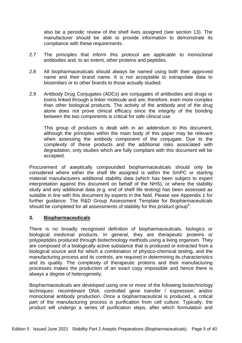also be a periodic review of the shelf lives assigned (see section 13). The manufacturer should be able to provide information to demonstrate its compliance with these requirements.

- 2.7 The principles that inform this protocol are applicable to monoclonal antibodies and, to an extent, other proteins and peptides.
- 2.8 All biopharmaceuticals should always be named using both their approved name and their brand name. It is not acceptable to extrapolate data to biosimilars or to other brands to those actually studied.
- 2.9 Antibody Drug Conjugates (ADCs) are conjugates of antibodies and drugs or toxins linked through a linker molecule and are, therefore, even more complex than other biological products. The activity of the antibody and of the drug alone does not prove clinical efficacy since the integrity of the bonding between the two components is critical for safe clinical use.

This group of products is dealt with in an addendum to this document, although the principles within the main body of this paper may be relevant when assessing the antibody component of the conjugate. Due to the complexity of these products and the additional risks associated with degradation, only studies which are fully compliant with this document will be accepted.

Procurement of aseptically compounded biopharmaceuticals should only be considered where either the shelf life assigned is within the SmPC or starting material manufacturers additional stability data (which has been subject to expert interpretation against this document on behalf of the NHS), or where the stability study and any additional data (e.g. end of shelf life testing) has been assessed as suitable in line with this document by experts in the field. Please see Appendix 1 for further guidance. The R&D Group Assessment Template for Biopharmaceuticals should be completed for all assessments of stability for this product group<sup>6</sup>.

#### **3. Biopharmaceuticals**

There is no broadly recognised definition of biopharmaceuticals, biologics or biological medicinal products. In general, they are therapeutic proteins or polypeptides produced through biotechnology methods using a living organism. They are composed of a biologically active substance that is produced or extracted from a biological source and for which a combination of physico-chemical testing, and the manufacturing process and its controls, are required in determining its characteristics and its quality. The complexity of therapeutic proteins and their manufacturing processes makes the production of an exact copy impossible and hence there is always a degree of heterogeneity.

Biopharmaceuticals are developed using one or more of the following biotechnology techniques: recombinant DNA; controlled gene transfer / expression; and/or monoclonal antibody production. Once a biopharmaceutical is produced, a critical part of the manufacturing process is purification from cell culture. Typically, the product will undergo a series of purification steps, after which formulation and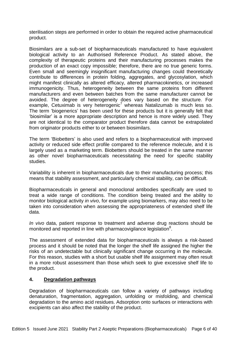sterilisation steps are performed in order to obtain the required active pharmaceutical product.

Biosimilars are a sub-set of biopharmaceuticals manufactured to have equivalent biological activity to an Authorised Reference Product. As stated above, the complexity of therapeutic proteins and their manufacturing processes makes the production of an exact copy impossible; therefore, there are no true generic forms. Even small and seemingly insignificant manufacturing changes could theoretically contribute to differences in protein folding, aggregates, and glycosylation, which might manifest clinically as altered efficacy, altered pharmacokinetics, or increased immunogenicity. Thus, heterogeneity between the same proteins from different manufacturers and even between batches from the same manufacturer cannot be avoided. The degree of heterogeneity does vary based on the structure. For example, Cetuximab is very heterogenic<sup>7</sup> whereas Natalizumab is much less so. The term 'biogenerics' has been used for these products but it is generally felt that 'biosimilar' is a more appropriate description and hence is more widely used. They are not identical to the comparator product therefore data cannot be extrapolated from originator products either to or between biosimilars.

The term 'Biobetters' is also used and refers to a biopharmaceutical with improved activity or reduced side effect profile compared to the reference molecule, and it is largely used as a marketing term. Biobetters should be treated in the same manner as other novel biopharmaceuticals necessitating the need for specific stability studies.

Variability is inherent in biopharmaceuticals due to their manufacturing process; this means that stability assessment, and particularly chemical stability, can be difficult.

Biopharmaceuticals in general and monoclonal antibodies specifically are used to treat a wide range of conditions. The condition being treated and the ability to monitor biological activity *in vivo*, for example using biomarkers, may also need to be taken into consideration when assessing the appropriateness of extended shelf life data.

*In vivo* data, patient response to treatment and adverse drug reactions should be monitored and reported in line with pharmacovigilance legislation<sup>8</sup>.

The assessment of extended data for biopharmaceuticals is always a risk-based process and it should be noted that the longer the shelf life assigned the higher the risks of an undetectable but clinically significant change occurring in the molecule. For this reason, studies with a short but usable shelf life assignment may often result in a more robust assessment than those which seek to give excessive shelf life to the product.

#### **4. Degradation pathways**

Degradation of biopharmaceuticals can follow a variety of pathways including denaturation, fragmentation, aggregation, unfolding or misfolding, and chemical degradation to the amino acid residues. Adsorption onto surfaces or interactions with excipients can also affect the stability of the product.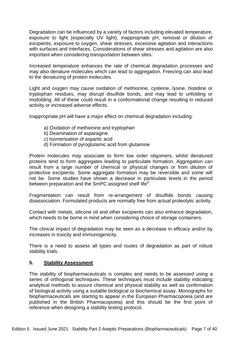Degradation can be influenced by a variety of factors including elevated temperature, exposure to light (especially UV light), inappropriate pH, removal or dilution of excipients, exposure to oxygen, shear stresses, excessive agitation and interactions with surfaces and interfaces. Considerations of shear stresses and agitation are also important when considering transportation between sites.

Increased temperature enhances the rate of chemical degradation processes and may also denature molecules which can lead to aggregation. Freezing can also lead to the denaturing of protein molecules.

Light and oxygen may cause oxidation of methionine, cysteine, lysine, histidine or tryptophan residues, may disrupt disulfide bonds, and may lead to unfolding or misfolding. All of these could result in a conformational change resulting in reduced activity or increased adverse effects.

Inappropriate pH will have a major effect on chemical degradation including:

- a) Oxidation of methionine and tryptophan
- b) Deamination of asparagine
- c) Isomerisation of aspartic acid
- d) Formation of pyroglutamic acid from glutamine

Protein molecules may associate to form low order oligomers, whilst denatured proteins tend to form aggregates leading to particulate formation. Aggregation can result from a large number of chemical or physical changes or from dilution of protective excipients. Some aggregate formation may be reversible and some will not be. Some studies have shown a decrease in particulate levels in the period between preparation and the SmPC assigned shelf life<sup>9</sup>.

Fragmentation can result from re-arrangement of disulfide bonds causing disassociation. Formulated products are normally free from actual proteolytic activity.

Contact with metals, silicone oil and other excipients can also enhance degradation, which needs to be borne in mind when considering choice of storage containers.

The clinical impact of degradation may be seen as a decrease in efficacy and/or by increases in toxicity and immunogenicity.

There is a need to assess all types and routes of degradation as part of robust stability trials.

#### **5. Stability Assessment**

The stability of biopharmaceuticals is complex and needs to be assessed using a series of orthogonal techniques. These techniques must include stability indicating analytical methods to assure chemical and physical stability as well as confirmation of biological activity using a suitable biological or biochemical assay. Monographs for biopharmaceuticals are starting to appear in the European Pharmacopoeia (and are published in the British Pharmacopoeia) and this should be the first point of reference when designing a stability testing protocol.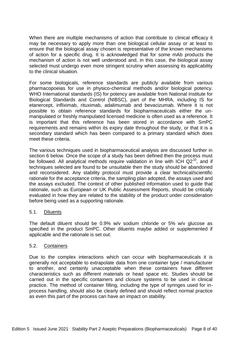When there are multiple mechanisms of action that contribute to clinical efficacy it may be necessary to apply more than one biological cellular assay or at least to ensure that the biological assay chosen is representative of the known mechanisms of action for a specific drug. It is acknowledged that for some mAb products the mechanism of action is not well understood and, in this case, the biological assay selected must undergo even more stringent scrutiny when assessing its applicability to the clinical situation.

For some biologicals, reference standards are publicly available from various pharmacopoeias for use in physico-chemical methods and/or biological potency. WHO International standards (IS) for potency are available from National Institute for Biological Standards and Control (NIBSC), part of the MHRA, including IS for etanercept, infliximab, rituximab, adalimumab and bevacizumab. Where it is not possible to obtain reference standards for biopharmaceuticals either the unmanipulated or freshly manipulated licensed medicine is often used as a reference. It is important that this reference has been stored in accordance with SmPC requirements and remains within its expiry date throughout the study, or that it is a secondary standard which has been compared to a primary standard which does meet these criteria.

The various techniques used in biopharmaceutical analysis are discussed further in section 6 below. Once the scope of a study has been defined then the process must be followed. All analytical methods require validation in line with ICH  $Q2^{10}$ , and if techniques selected are found to be unsuitable then the study should be abandoned and reconsidered. Any stability protocol must provide a clear technical/scientific rationale for the acceptance criteria, the sampling plan adopted, the assays used and the assays excluded. The context of other published information used to guide that rationale, such as European or UK Public Assessment Reports, should be critically evaluated in how they are related to the stability of the product under consideration before being used as a supporting rationale.

#### 5.1. Diluents

The default diluent should be 0.9% w/v sodium chloride or 5% w/v glucose as specified in the product SmPC. Other diluents maybe added or supplemented if applicable and the rationale is set out.

#### 5.2. Containers

Due to the complex interactions which can occur with biopharmaceuticals it is generally not acceptable to extrapolate data from one container type / manufacturer to another, and certainly unacceptable when these containers have different characteristics such as different materials or head space etc. Studies should be carried out in the specific containers and closure systems to be used in clinical practice. The method of container filling, including the type of syringes used for inprocess handling, should also be clearly defined and should reflect normal practice as even this part of the process can have an impact on stability.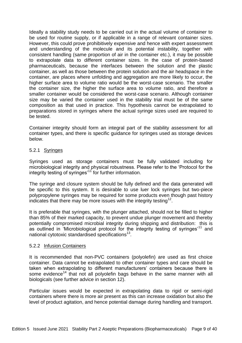Ideally a stability study needs to be carried out in the actual volume of container to be used for routine supply, or if applicable in a range of relevant container sizes. However, this could prove prohibitively expensive and hence with expert assessment and understanding of the molecule and its potential instability, together with consistent handling (same proportion of air in the container etc.), it may be possible to extrapolate data to different container sizes. In the case of protein-based pharmaceuticals, because the interfaces between the solution and the plastic container, as well as those between the protein solution and the air headspace in the container, are places where unfolding and aggregation are more likely to occur, the higher surface area to volume ratio would be the worst-case scenario. The smaller the container size, the higher the surface area to volume ratio, and therefore a smaller container would be considered the worst-case scenario. Although container size may be varied the container used in the stability trial must be of the same composition as that used in practice. This hypothesis cannot be extrapolated to preparations stored in syringes where the actual syringe sizes used are required to be tested.

Container integrity should form an integral part of the stability assessment for all container types, and there is specific guidance for syringes used as storage devices below.

#### 5.2.1 Syringes

Syringes used as storage containers must be fully validated including for microbiological integrity and physical robustness. Please refer to the 'Protocol for the integrity testing of syringes'<sup>11</sup> for further information.

The syringe and closure system should be fully defined and the data generated will be specific to this system. It is desirable to use luer lock syringes but two-piece polypropylene syringes may be required for some products even though past history indicates that there may be more issues with the integrity testing<sup>12</sup>.

It is preferable that syringes, with the plunger attached, should not be filled to higher than 85% of their marked capacity, to prevent undue plunger movement and thereby potentially compromised microbial integrity during shipping and distribution: this is as outlined in 'Microbiological protocol for the integrity testing of syringes'<sup>11</sup> and national cytotoxic standardised specifications<sup>13</sup>.

#### 5.2.2 Infusion Containers

It is recommended that non-PVC containers (polyolefin) are used as first choice container. Data cannot be extrapolated to other container types and care should be taken when extrapolating to different manufacturers' containers because there is some evidence<sup>14</sup> that not all polyolefin bags behave in the same manner with all biologicals (see further advice in section 12).

Particular issues would be expected in extrapolating data to rigid or semi-rigid containers where there is more air present as this can increase oxidation but also the level of product agitation, and hence potential damage during handling and transport.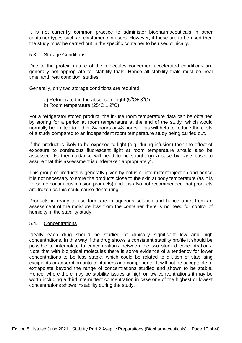It is not currently common practice to administer biopharmaceuticals in other container types such as elastomeric infusers. However, if these are to be used then the study must be carried out in the specific container to be used clinically.

#### 5.3. Storage Conditions

Due to the protein nature of the molecules concerned accelerated conditions are generally not appropriate for stability trials. Hence all stability trials must be 'real time' and 'real condition' studies.

Generally, only two storage conditions are required:

- a) Refrigerated in the absence of light ( $5^{\circ}$ C $\pm$  3 $^{\circ}$ C)
- b) Room temperature  $(25^{\circ}C \pm 2^{\circ}C)$

For a refrigerator stored product, the in-use room temperature data can be obtained by storing for a period at room temperature at the end of the study, which would normally be limited to either 24 hours or 48 hours. This will help to reduce the costs of a study compared to an independent room temperature study being carried out.

If the product is likely to be exposed to light (e.g. during infusion) then the effect of exposure to continuous fluorescent light at room temperature should also be assessed. Further guidance will need to be sought on a case by case basis to assure that this assessment is undertaken appropriately<sup>2</sup>.

This group of products is generally given by bolus or intermittent injection and hence it is not necessary to store the products close to the skin at body temperature (as it is for some continuous infusion products) and it is also not recommended that products are frozen as this could cause denaturing.

Products in ready to use form are in aqueous solution and hence apart from an assessment of the moisture loss from the container there is no need for control of humidity in the stability study.

#### 5.4. Concentrations

Ideally each drug should be studied at clinically significant low and high concentrations. In this way if the drug shows a consistent stability profile it should be possible to interpolate to concentrations between the two studied concentrations. Note that with biological molecules there is some evidence of a tendency for lower concentrations to be less stable, which could be related to dilution of stabilising excipients or adsorption onto containers and components. It will not be acceptable to extrapolate beyond the range of concentrations studied and shown to be stable. Hence, where there may be stability issues at high or low concentrations it may be worth including a third intermittent concentration in case one of the highest or lowest concentrations shows instability during the study.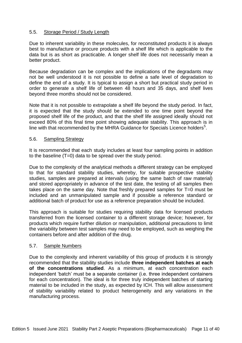#### 5.5. Storage Period / Study Length

Due to inherent variability in these molecules, for reconstituted products it is always best to manufacture or procure products with a shelf life which is applicable to the data but is as short as practicable. A longer shelf life does not necessarily mean a better product.

Because degradation can be complex and the implications of the degradants may not be well understood it is not possible to define a safe level of degradation to define the end of a study. It is typical to assign a short but practical study period in order to generate a shelf life of between 48 hours and 35 days, and shelf lives beyond three months should not be considered.

Note that it is not possible to extrapolate a shelf life beyond the study period. In fact, it is expected that the study should be extended to one time point beyond the proposed shelf life of the product, and that the shelf life assigned ideally should not exceed 80% of this final time point showing adequate stability. This approach is in line with that recommended by the MHRA Guidance for Specials Licence holders<sup>5</sup>.

#### 5.6. Sampling Strategy

It is recommended that each study includes at least four sampling points in addition to the baseline (T=0) data to be spread over the study period.

Due to the complexity of the analytical methods a different strategy can be employed to that for standard stability studies, whereby, for suitable prospective stability studies, samples are prepared at intervals (using the same batch of raw material) and stored appropriately in advance of the test date, the testing of all samples then takes place on the same day. Note that freshly prepared samples for T=0 must be included and an unmanipulated sample and if possible a reference standard or additional batch of product for use as a reference preparation should be included.

This approach is suitable for studies requiring stability data for licensed products transferred from the licensed container to a different storage device; however, for products which require further dilution or manipulation, additional precautions to limit the variability between test samples may need to be employed, such as weighing the containers before and after addition of the drug.

#### 5.7. Sample Numbers

Due to the complexity and inherent variability of this group of products it is strongly recommended that the stability studies include **three independent batches at each of the concentrations studied**. As a minimum, at each concentration each independent 'batch' must be a separate container (i.e. three independent containers for each concentration). The ideal is for three truly independent batches of starting material to be included in the study, as expected by ICH. This will allow assessment of stability variability related to product heterogeneity and any variations in the manufacturing process.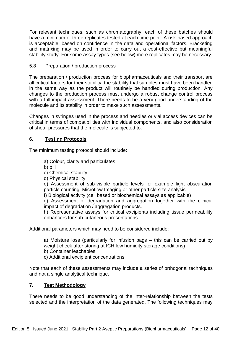For relevant techniques, such as chromatography, each of these batches should have a minimum of three replicates tested at each time point. A risk-based approach is acceptable, based on confidence in the data and operational factors. Bracketing and matrixing may be used in order to carry out a cost-effective but meaningful stability study. For some assay types (see below) more replicates may be necessary.

## 5.8 Preparation / production process

The preparation / production process for biopharmaceuticals and their transport are all critical factors for their stability; the stability trial samples must have been handled in the same way as the product will routinely be handled during production. Any changes to the production process must undergo a robust change control process with a full impact assessment. There needs to be a very good understanding of the molecule and its stability in order to make such assessments.

Changes in syringes used in the process and needles or vial access devices can be critical in terms of compatibilities with individual components, and also consideration of shear pressures that the molecule is subjected to.

#### **6. Testing Protocols**

The minimum testing protocol should include:

a) Colour, clarity and particulates

b) pH

- c) Chemical stability
- d) Physical stability

e) Assessment of sub-visible particle levels for example light obscuration particle counting, Microflow Imaging or other particle size analysis

f) Biological activity (cell based or biochemical assays as applicable)

g) Assessment of degradation and aggregation together with the clinical impact of degradation / aggregation products.

h) Representative assays for critical excipients including tissue permeability enhancers for sub-cutaneous presentations

Additional parameters which may need to be considered include:

a) Moisture loss (particularly for infusion bags – this can be carried out by weight check after storing at ICH low humidity storage conditions)

b) Container leachables

c) Additional excipient concentrations

Note that each of these assessments may include a series of orthogonal techniques and not a single analytical technique.

# **7. Test Methodology**

There needs to be good understanding of the inter-relationship between the tests selected and the interpretation of the data generated. The following techniques may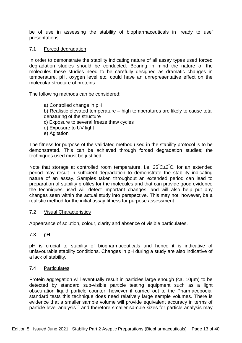be of use in assessing the stability of biopharmaceuticals in 'ready to use' presentations.

#### 7.1 Forced degradation

In order to demonstrate the stability indicating nature of all assay types used forced degradation studies should be conducted. Bearing in mind the nature of the molecules these studies need to be carefully designed as dramatic changes in temperature, pH, oxygen level etc. could have an unrepresentative effect on the molecular structure of proteins.

The following methods can be considered:

a) Controlled change in pH b) Realistic elevated temperature – high temperatures are likely to cause total denaturing of the structure c) Exposure to several freeze thaw cycles d) Exposure to UV light e) Agitation

The fitness for purpose of the validated method used in the stability protocol is to be demonstrated. This can be achieved through forced degradation studies; the techniques used must be justified.

Note that storage at controlled room temperature, i.e.  $25^{\circ}C\pm2^{\circ}C$ , for an extended period may result in sufficient degradation to demonstrate the stability indicating nature of an assay. Samples taken throughout an extended period can lead to preparation of stability profiles for the molecules and that can provide good evidence the techniques used will detect important changes, and will also help put any changes seen within the actual study into perspective. This may not, however, be a realistic method for the initial assay fitness for purpose assessment.

#### 7.2 Visual Characteristics

Appearance of solution, colour, clarity and absence of visible particulates.

#### 7.3 pH

pH is crucial to stability of biopharmaceuticals and hence it is indicative of unfavourable stability conditions. Changes in pH during a study are also indicative of a lack of stability.

#### 7.4 Particulates

Protein aggregation will eventually result in particles large enough (ca. 10µm) to be detected by standard sub-visible particle testing equipment such as a light obscuration liquid particle counter, however if carried out to the Pharmacopoeial standard tests this technique does need relatively large sample volumes. There is evidence that a smaller sample volume will provide equivalent accuracy in terms of particle level analysis<sup>15</sup> and therefore smaller sample sizes for particle analysis may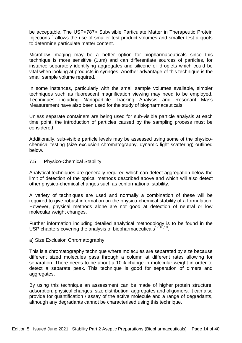be acceptable. The USP<787> Subvisible Particulate Matter in Therapeutic Protein Injections<sup>16</sup> allows the use of smaller test product volumes and smaller test aliquots to determine particulate matter content.

Microflow Imaging may be a better option for biopharmaceuticals since this technique is more sensitive (1µm) and can differentiate sources of particles, for instance separately identifying aggregates and silicone oil droplets which could be vital when looking at products in syringes. Another advantage of this technique is the small sample volume required.

In some instances, particularly with the small sample volumes available, simpler techniques such as fluorescent magnification viewing may need to be employed. Techniques including Nanoparticle Tracking Analysis and Resonant Mass Measurement have also been used for the study of biopharmaceuticals.

Unless separate containers are being used for sub-visible particle analysis at each time point, the introduction of particles caused by the sampling process must be considered.

Additionally, sub-visible particle levels may be assessed using some of the physicochemical testing (size exclusion chromatography, dynamic light scattering) outlined below.

#### 7.5 Physico-Chemical Stability

Analytical techniques are generally required which can detect aggregation below the limit of detection of the optical methods described above and which will also detect other physico-chemical changes such as conformational stability.

A variety of techniques are used and normally a combination of these will be required to give robust information on the physico-chemical stability of a formulation. However, physical methods alone are not good at detection of neutral or low molecular weight changes.

Further information including detailed analytical methodology is to be found in the USP chapters covering the analysis of biopharmaceuticals $17,18,19$ .

#### a) Size Exclusion Chromatography

This is a chromatography technique where molecules are separated by size because different sized molecules pass through a column at different rates allowing for separation. There needs to be about a 10% change in molecular weight in order to detect a separate peak. This technique is good for separation of dimers and aggregates.

By using this technique an assessment can be made of higher protein structure, adsorption, physical changes, size distribution, aggregates and oligomers. It can also provide for quantification / assay of the active molecule and a range of degradants, although any degradants cannot be characterised using this technique.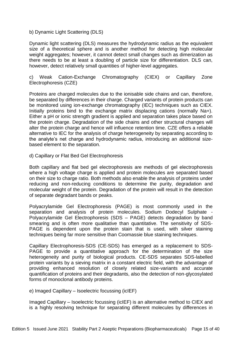#### b) Dynamic Light Scattering (DLS)

Dynamic light scattering (DLS) measures the hydrodynamic radius as the equivalent size of a theoretical sphere and is another method for detecting high molecular weight aggregates; however, it cannot detect small changes such as dimerization as there needs to be at least a doubling of particle size for differentiation. DLS can, however, detect relatively small quantities of higher-level aggregates.

c) Weak Cation-Exchange Chromatography (CIEX) or Capillary Zone Electrophoresis (CZE)

Proteins are charged molecules due to the ionisable side chains and can, therefore, be separated by differences in their charge. Charged variants of protein products can be monitored using ion-exchange chromatography (IEC) techniques such as CIEX. Initially proteins bind to the exchange matrix displacing cations (normally Na+). Either a pH or ionic strength gradient is applied and separation takes place based on the protein charge. Degradation of the side chains and other structural changes will alter the protein charge and hence will influence retention time. CZE offers a reliable alternative to IEC for the analysis of charge heterogeneity by separating according to the analyte's net charge and hydrodynamic radius, introducing an additional sizebased element to the separation.

#### d) Capillary or Flat Bed Gel Electrophoresis

Both capillary and flat bed gel electrophoresis are methods of gel electrophoresis where a high voltage charge is applied and protein molecules are separated based on their size to charge ratio. Both methods also enable the analysis of proteins under reducing and non-reducing conditions to determine the purity, degradation and molecular weight of the protein. Degradation of the protein will result in the detection of separate degradant bands or peaks.

Polyacrylamide Gel Electrophoresis (PAGE) is most commonly used in the separation and analysis of protein molecules. Sodium Dodecyl Sulphate - Polyacrylamide Gel Electrophoresis (SDS – PAGE) detects degradation by band smearing and is often more qualitative than quantitative. The sensitivity of SDS-PAGE is dependent upon the protein stain that is used, with silver staining techniques being far more sensitive than Coomassie blue staining techniques.

Capillary Electrophoresis-SDS (CE-SDS) has emerged as a replacement to SDS-PAGE to provide a quantitative approach for the determination of the size heterogeneity and purity of biological products. CE-SDS separates SDS-labelled protein variants by a sieving matrix in a constant electric field, with the advantage of providing enhanced resolution of closely related size-variants and accurate quantification of proteins and their degradants, also the detection of non-glycosylated forms of monoclonal antibody proteins.

e) Imaged Capillary – Isoelectric focussing (icIEF)

Imaged Capillary – Isoelectric focussing (icIEF) is an alternative method to CIEX and is a highly resolving technique for separating different molecules by differences in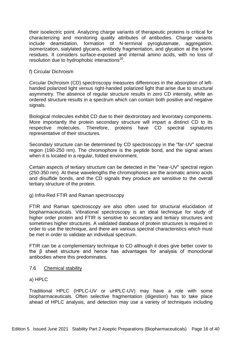their isoelectric point. Analyzing charge variants of therapeutic proteins is critical for characterizing and monitoring quality attributes of antibodies. Charge variants include deamidation, formation of N-terminal pyroglutamate, aggregation, isomerization, sialylated glycans, antibody fragmentation, and glycation at the lysine residues. It considers surface-exposed and internal amino acids, with no loss of resolution due to hydrophobic interactions<sup>20</sup>.

#### f) Circular Dichroism

Circular Dichroism (CD) spectroscopy measures differences in the absorption of lefthanded polarized light versus right-handed polarized light that arise due to structural asymmetry. The absence of regular structure results in zero CD intensity, while an ordered structure results in a spectrum which can contain both positive and negative signals.

Biological molecules exhibit CD due to their dextrorotary and levorotary components. More importantly the protein secondary structure will impart a distinct CD to its respective molecules. Therefore, proteins have CD spectral signatures representative of their structures.

Secondary structure can be determined by CD spectroscopy in the "far-UV" spectral region (190-250 nm). The chromophore is the peptide bond, and the signal arises when it is located in a regular, folded environment.

Certain aspects of tertiary structure can be detected in the "near-UV" spectral region (250-350 nm). At these wavelengths the chromophores are the aromatic amino acids and disulfide bonds, and the CD signals they produce are sensitive to the overall tertiary structure of the protein.

#### g) Infra-Red FTIR and Raman spectroscopy

FTIR and Raman spectroscopy are also often used for structural elucidation of biopharmaceuticals. Vibrational spectroscopy is an ideal technique for study of higher order protein and FTIR is sensitive to secondary and tertiary structures and sometimes higher structures. A validated database of protein structures is required in order to use the technique, and there are various spectral characteristics which must be met in order to validate an individual spectrum.

FTIR can be a complementary technique to CD although it does give better cover to the β sheet structure and hence has advantages for analysis of monoclonal antibodies where this predominates.

#### 7.6 Chemical stability

#### a) HPLC

Traditional HPLC (HPLC-UV or uHPLC-UV) may have a role with some biopharmaceuticals. Often selective fragmentation (digestion) has to take place ahead of HPLC analysis, and detection may use a variety of techniques including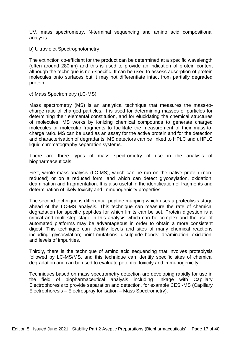UV, mass spectrometry, N-terminal sequencing and amino acid compositional analysis.

b) Ultraviolet Spectrophotometry

The extinction co-efficient for the product can be determined at a specific wavelength (often around 280nm) and this is used to provide an indication of protein content although the technique is non-specific. It can be used to assess adsorption of protein molecules onto surfaces but it may not differentiate intact from partially degraded protein.

c) Mass Spectrometry (LC-MS)

Mass spectrometry (MS) is an analytical technique that measures the mass-tocharge ratio of charged particles. It is used for determining masses of particles for determining their elemental constitution, and for elucidating the chemical structures of molecules. MS works by ionizing chemical compounds to generate charged molecules or molecular fragments to facilitate the measurement of their mass-tocharge ratio. MS can be used as an assay for the active protein and for the detection and characterisation of degradants. MS detectors can be linked to HPLC and uHPLC liquid chromatography separation systems.

There are three types of mass spectrometry of use in the analysis of biopharmaceuticals.

First, whole mass analysis (LC-MS), which can be run on the native protein (nonreduced) or on a reduced form, and which can detect glycosylation, oxidation, deamination and fragmentation. It is also useful in the identification of fragments and determination of likely toxicity and immunogenicity properties.

The second technique is differential peptide mapping which uses a proteolysis stage ahead of the LC-MS analysis. This technique can measure the rate of chemical degradation for specific peptides for which limits can be set. Protein digestion is a critical and multi-step stage in this analysis which can be complex and the use of automated platforms may be advantageous in order to obtain a more consistent digest. This technique can identify levels and sites of many chemical reactions including: glycosylation; point mutations; disulphide bonds; deamination; oxidation; and levels of impurities.

Thirdly, there is the technique of amino acid sequencing that involves proteolysis followed by LC-MS/MS, and this technique can identify specific sites of chemical degradation and can be used to evaluate potential toxicity and immunogenicity.

Techniques based on mass spectrometry detection are developing rapidly for use in the field of biopharmaceutical analysis including linkage with Capillary Electrophoresis to provide separation and detection, for example CESI-MS (Capillary Electrophoresis – Electrospray Ionisation – Mass Spectrometry).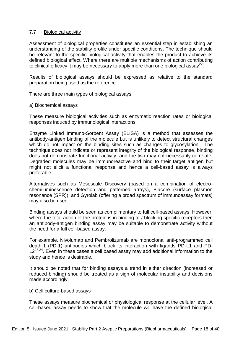#### 7.7 Biological activity

Assessment of biological properties constitutes an essential step in establishing an understanding of the stability profile under specific conditions. The technique should be relevant to the specific biological activity that enables the product to achieve its defined biological effect. Where there are multiple mechanisms of action contributing to clinical efficacy it may be necessary to apply more than one biological assay<sup>22</sup>.

Results of biological assays should be expressed as relative to the standard preparation being used as the reference.

There are three main types of biological assays:

a) Biochemical assays

These measure biological activities such as enzymatic reaction rates or biological responses induced by immunological interactions.

Enzyme Linked Immuno-Sorbent Assay (ELISA) is a method that assesses the antibody-antigen binding of the molecule but is unlikely to detect structural changes which do not impact on the binding sites such as changes to glycosylation. The technique does not indicate or represent integrity of the biological response, binding does not demonstrate functional activity, and the two may not necessarily correlate. Degraded molecules may be immunoreactive and bind to their target antigen but might not elicit a functional response and hence a cell-based assay is always preferable.

Alternatives such as Mesoscale Discovery (based on a combination of electrochemiluminescence detection and patterned arrays), Biacore (surface plasmon resonance (SPR)), and Gyrolab (offering a broad spectrum of immunoassay formats) may also be used.

Binding assays should be seen as complimentary to full cell-based assays. However, where the total action of the protein is in binding to / blocking specific receptors then an antibody-antigen binding assay may be suitable to demonstrate activity without the need for a full cell-based assay.

For example, Nivolumab and Pembrolizumab are monoclonal anti-programmed cell death-1 (PD-1) antibodies which block its interaction with ligands PD-L1 and PD- $L2^{23,24}$ . Even in these cases a cell based assay may add additional information to the study and hence is desirable.

It should be noted that for binding assays a trend in either direction (increased or reduced binding) should be treated as a sign of molecular instability and decisions made accordingly.

b) Cell culture-based assays

These assays measure biochemical or physiological response at the cellular level. A cell-based assay needs to show that the molecule will have the defined biological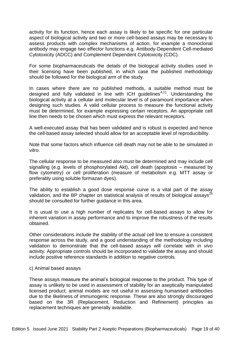activity for its function, hence each assay is likely to be specific for one particular aspect of biological activity and two or more cell-based assays may be necessary to assess products with complex mechanisms of action, for example a monoclonal antibody may engage two effector functions e.g. Antibody-Dependent Cell-mediated Cytotoxicity (ADCC) and Complement Dependent Cytotoxicity (CDC).

For some biopharmaceuticals the details of the biological activity studies used in their licensing have been published, in which case the published methodology should be followed for the biological arm of the study.

In cases where there are no published methods, a suitable method must be designed and fully validated in line with ICH guidelines<sup>4,11</sup>. Understanding the biological activity at a cellular and molecular level is of paramount importance when designing such studies. A valid cellular process to measure the functional activity must be determined, for example expressing certain receptors. An appropriate cell line then needs to be chosen which must express the relevant receptors.

A well-executed assay that has been validated and is robust is expected and hence the cell-based assay selected should allow for an acceptable level of reproducibility.

Note that some factors which influence cell death may not be able to be simulated *in vitro.*

The cellular response to be measured also must be determined and may include cell signalling (e.g. levels of phosphorylated Akt), cell death (apoptosis – measured by flow cytometry) or cell proliferation (measure of metabolism e.g. MTT assay or preferably using soluble formazan dyes).

The ability to establish a good dose response curve is a vital part of the assay validation, and the BP chapter on statistical analysis of results of biological assays<sup>25</sup> should be consulted for further guidance in this area.

It is usual to use a high number of replicates for cell-based assays to allow for inherent variation in assay performance and to improve the robustness of the results obtained.

Other considerations include the stability of the actual cell line to ensure a consistent response across the study, and a good understanding of the methodology including validation to demonstrate that the cell-based assays will correlate with *in vivo* activity. Appropriate controls should be incorporated to validate the assay and should include positive reference standards in addition to negative controls.

#### c) Animal based assays

These assays measure the animal's biological response to the product. This type of assay is unlikely to be used in assessment of stability for an aseptically manipulated licensed product; animal models are not useful in assessing humanised antibodies due to the likeliness of immunogenic response. These are also strongly discouraged based on the 3R (Replacement, Reduction and Refinement) principles as replacement techniques are generally available.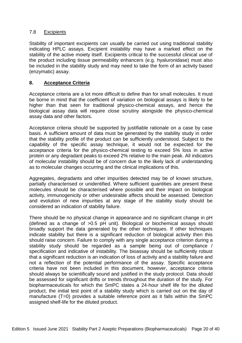#### 7.8 Excipients

Stability of important excipients can usually be carried out using traditional stability indicating HPLC assays. Excipient instability may have a marked effect on the stability of the active moiety itself. Excipients critical to the successful clinical use of the product including tissue permeability enhancers (e.g. hyaluronidase) must also be included in the stability study and may need to take the form of an activity based (enzymatic) assay.

#### **8. Acceptance Criteria**

Acceptance criteria are a lot more difficult to define than for small molecules. It must be borne in mind that the coefficient of variation on biological assays is likely to be higher than that seen for traditional physico-chemical assays, and hence the biological assay data will require close scrutiny alongside the physico-chemical assay data and other factors.

Acceptance criteria should be supported by justifiable rationale on a case by case basis. A sufficient amount of data must be generated by the stability study in order that the stability profile of the product can be sufficiently understood. Subject to the capability of the specific assay technique, it would not be expected for the acceptance criteria for the physico-chemical testing to exceed 5% loss in active protein or any degradant peaks to exceed 2% relative to the main peak. All indicators of molecular instability should be of concern due to the likely lack of understanding as to molecular changes occurring and the clinical implications of this.

Aggregates, degradants and other impurities detected may be of known structure, partially characterised or unidentified. Where sufficient quantities are present these molecules should be characterised where possible and their impact on biological activity, immunogenicity or other undesirable affects should be assessed. Detection and evolution of new impurities at any stage of the stability study should be considered an indication of stability failure.

There should be no physical change in appearance and no significant change in pH (defined as a change of >0.5 pH unit). Biological or biochemical assays should broadly support the data generated by the other techniques. If other techniques indicate stability but there is a significant reduction of biological activity then this should raise concern. Failure to comply with any single acceptance criterion during a stability study should be regarded as a sample being out of compliance / specification and indicative of instability. The bioassay should be sufficiently robust that a significant reduction is an indication of loss of activity and a stability failure and not a reflection of the potential performance of the assay. Specific acceptance criteria have not been included in this document, however, acceptance criteria should always be scientifically sound and justified in the study protocol. Data should be assessed for significant drifts or trends throughout the duration of the study. For biopharmaceuticals for which the SmPC states a 24-hour shelf life for the diluted product, the initial test point of a stability study which is carried out on the day of manufacture (T=0) provides a suitable reference point as it falls within the SmPC assigned shelf-life for the diluted product.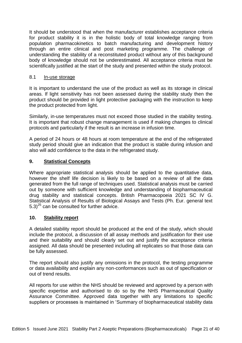It should be understood that when the manufacturer establishes acceptance criteria for product stability it is in the holistic body of total knowledge ranging from population pharmacokinetics to batch manufacturing and development history through an entire clinical and post marketing programme. The challenge of understanding the stability of a reconstituted product without any of this background body of knowledge should not be underestimated. All acceptance criteria must be scientifically justified at the start of the study and presented within the study protocol.

#### 8.1 In-use storage

It is important to understand the use of the product as well as its storage in clinical areas. If light sensitivity has not been assessed during the stability study then the product should be provided in light protective packaging with the instruction to keep the product protected from light.

Similarly, in-use temperatures must not exceed those studied in the stability testing. It is important that robust change management is used if making changes to clinical protocols and particularly if the result is an increase in infusion time.

A period of 24 hours or 48 hours at room temperature at the end of the refrigerated study period should give an indication that the product is stable during infusion and also will add confidence to the data in the refrigerated study.

#### **9. Statistical Concepts**

Where appropriate statistical analysis should be applied to the quantitative data, however the shelf life decision is likely to be based on a review of all the data generated from the full range of techniques used. Statistical analysis must be carried out by someone with sufficient knowledge and understanding of biopharmaceutical drug stability and statistical concepts. British Pharmacopoeia 2021 SC IV G. Statistical Analysis of Results of Biological Assays and Tests (Ph. Eur. general text  $(5.3)^{25}$  can be consulted for further advice.

#### **10. Stability report**

A detailed stability report should be produced at the end of the study, which should include the protocol, a discussion of all assay methods and justification for their use and their suitability and should clearly set out and justify the acceptance criteria assigned. All data should be presented including all replicates so that those data can be fully assessed.

The report should also justify any omissions in the protocol, the testing programme or data availability and explain any non-conformances such as out of specification or out of trend results.

All reports for use within the NHS should be reviewed and approved by a person with specific expertise and authorised to do so by the NHS Pharmaceutical Quality Assurance Committee. Approved data together with any limitations to specific suppliers or processes is maintained in 'Summary of biopharmaceutical stability data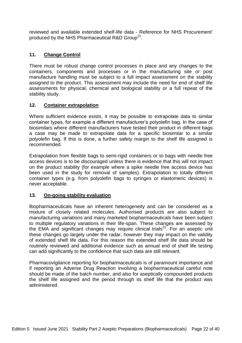reviewed and available extended shelf-life data - Reference for NHS Procurement' produced by the NHS Pharmaceutical R&D Group<sup>21</sup>.

## **11. Change Control**

There must be robust change control processes in place and any changes to the containers, components and processes or in the manufacturing site or post manufacture handling must be subject to a full impact assessment on the stability assigned to the product. This assessment may include the need for end of shelf life assessments for physical, chemical and biological stability or a full repeat of the stability study.

#### **12. Container extrapolation**

Where sufficient evidence exists, it may be possible to extrapolate data to similar container types, for example a different manufacturer's polyolefin bag. In the case of biosimilars where different manufacturers have tested their product in different bags a case may be made to extrapolate data for a specific biosimilar to a similar polyolefin bag. If this is done, a further safety margin to the shelf life assigned is recommended.

Extrapolation from flexible bags to semi-rigid containers or to bags with needle free access devices is to be discouraged unless there is evidence that this will not impact on the product stability (for example where a spike needle free access device has been used in the study for removal of samples). Extrapolation to totally different container types (e.g. from polyolefin bags to syringes or elastomeric devices) is never acceptable.

#### **13. On-going stability evaluation**

Biopharmaceuticals have an inherent heterogeneity and can be considered as a mixture of closely related molecules. Authorised products are also subject to manufacturing variations and many marketed biopharmaceuticals have been subject to multiple regulatory variations in their life-span. These changes are assessed by the EMA and significant changes may require clinical trials<sup>22</sup>. For an aseptic unit these changes go largely under the radar, however they may impact on the validity of extended shelf life data. For this reason the extended shelf life data should be routinely reviewed and additional evidence such as annual end of shelf life testing can add significantly to the confidence that such data are still relevant.

Pharmacovigilance reporting for biopharmaceuticals is of paramount importance and if reporting an Adverse Drug Reaction involving a biopharmaceutical careful note should be made of the batch number, and also for aseptically compounded products the shelf life assigned and the period through its shelf life that the product was administered.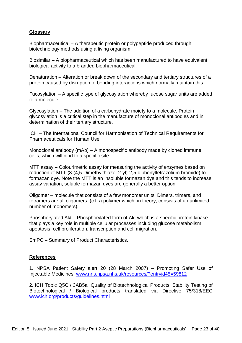#### **Glossary**

Biopharmaceutical – A therapeutic protein or polypeptide produced through biotechnology methods using a living organism.

Biosimilar – A biopharmaceutical which has been manufactured to have equivalent biological activity to a branded biopharmaceutical.

Denaturation – Alteration or break down of the secondary and tertiary structures of a protein caused by disruption of bonding interactions which normally maintain this.

Fucosylation – A specific type of glycosylation whereby fucose sugar units are added to a molecule.

Glycosylation – The addition of a carbohydrate moiety to a molecule. Protein glycosylation is a critical step in the manufacture of monoclonal antibodies and in determination of their tertiary structure.

ICH – The International Council for Harmonisation of Technical Requirements for Pharmaceuticals for Human Use.

Monoclonal antibody (mAb) – A monospecific antibody made by cloned immune cells, which will bind to a specific site.

MTT assay – Colourimetric assay for measuring the activity of enzymes based on reduction of MTT (3-(4,5-Dimethylthiazol-2-yl)-2,5-diphenyltetrazolium bromide) to [formazan](http://en.wikipedia.org/wiki/Formazan) dye. Note the MTT is an insoluble formazan dye and this tends to increase assay variation, soluble formazan dyes are generally a better option.

Oligomer – molecule that consists of a few monomer units. Dimers, trimers, and tetramers are all oligomers. (c.f. a polymer which, in theory, consists of an unlimited number of monomers).

Phosphorylated Akt – Phosphorylated form of Akt which is a [specific protein kinase](http://en.wikipedia.org/wiki/Serine/threonine-specific_protein_kinase) that plays a key role in multiple cellular processes including glucose metabolism, [apoptosis,](http://en.wikipedia.org/wiki/Apoptosis) [cell proliferation,](http://en.wikipedia.org/wiki/Cell_proliferation) transcription and cell migration.

SmPC – Summary of Product Characteristics.

#### **References**

1. NPSA Patient Safety alert 20 (28 March 2007) – Promoting Safer Use of Injectable Medicines. [www.nrls.npsa.nhs.uk/resources/?entryid45=59812](http://www.nrls.npsa.nhs.uk/resources/?entryid45=59812)

2. ICH Topic Q5C / 3AB5a Quality of Biotechnological Products: Stability Testing of Biotechnological / Biological products translated via Directive 75/318/EEC [www.ich.org/products/guidelines.html](http://www.ich.org/products/guidelines.html)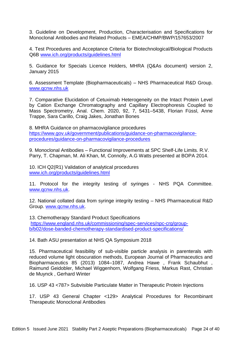3. Guideline on Development, Production, Characterisation and Specifications for Monoclonal Antibodies and Related Products – EMEA/CHMP/BWP/157653/2007

4. Test Procedures and Acceptance Criteria for Biotechnological/Biological Products Q6B [www.ich.org/products/guidelines.html](http://www.ich.org/products/guidelines.html)

5. Guidance for Specials Licence Holders, MHRA (Q&As document) version 2, January 2015

6. Assessment Template (Biopharmaceuticals) – NHS Pharmaceutical R&D Group. [www.qcnw.nhs.uk](http://www.qcnw.nhs.uk/)

7. Comparative Elucidation of Cetuximab Heterogeneity on the Intact Protein Level by Cation Exchange Chromatography and Capillary Electrophoresis Coupled to Mass Spectrometry, Anal. Chem. 2020, 92, 7, 5431–5438, Florian Füssl, Anne Trappe, Sara Carillo, Craig Jakes, Jonathan Bones

8. MHRA Guidance on pharmacovigilance procedures [https://www.gov.uk/government/publications/guidance-on-pharmacovigilance](https://www.gov.uk/government/publications/guidance-on-pharmacovigilance-procedures/guidance-on-pharmacovigilance-procedures)[procedures/guidance-on-pharmacovigilance-procedures](https://www.gov.uk/government/publications/guidance-on-pharmacovigilance-procedures/guidance-on-pharmacovigilance-procedures)

9. Monoclonal Antibodies – Functional Improvements at SPC Shelf-Life Limits. R.V. Parry, T. Chapman, M. Ali Khan, M, Connolly, A.G Watts presented at BOPA 2014.

10. ICH Q2(R1) Validation of analytical procedures [www.ich.org/products/guidelines.html](http://www.ich.org/products/guidelines.html)

11. Protocol for the integrity testing of syringes - NHS PQA Committee. [www.qcnw.nhs.uk.](http://www.qcnw.nhs.uk/)

12. National collated data from syringe integrity testing – NHS Pharmaceutical R&D Group. [www.qcnw.nhs.uk.](http://www.qcnw.nhs.uk/)

13. Chemotherapy Standard Product Specifications [https://www.england.nhs.uk/commissioning/spec-services/npc-crg/group](https://www.england.nhs.uk/commissioning/spec-services/npc-crg/group-b/b02/dose-banded-chemotherapy-standardised-product-specifications/)[b/b02/dose-banded-chemotherapy-standardised-product-specifications/](https://www.england.nhs.uk/commissioning/spec-services/npc-crg/group-b/b02/dose-banded-chemotherapy-standardised-product-specifications/)

14. Bath ASU presentation at NHS QA Symposium 2018

15. Pharmaceutical feasibility of sub-visible particle analysis in parenterals with reduced volume light obscuration methods, European Journal of Pharmaceutics and Biopharmaceutics 85 (2013) 1084–1087, Andrea Hawe , Frank Schaubhut , Raimund Geidobler, Michael Wiggenhorn, Wolfgang Friess, Markus Rast, Christian de Muynck , Gerhard Winter

16. USP 43 <787> Subvisible Particulate Matter in Therapeutic Protein Injections

17. USP 43 General Chapter <129> Analytical Procedures for Recombinant Therapeutic Monoclonal Antibodies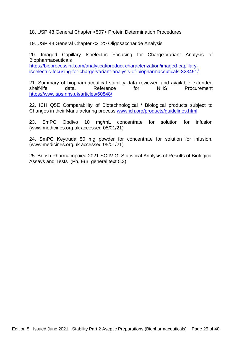18. USP 43 General Chapter <507> Protein Determination Procedures

19. USP 43 General Chapter <212> Oligosaccharide Analysis

20. Imaged Capillary Isoelectric Focusing for Charge-Variant Analysis of Biopharmaceuticals [https://bioprocessintl.com/analytical/product-characterization/imaged-capillary-](https://bioprocessintl.com/analytical/product-characterization/imaged-capillary-isoelectric-focusing-for-charge-variant-analysis-of-biopharmaceuticals-323451/)

[isoelectric-focusing-for-charge-variant-analysis-of-biopharmaceuticals-323451/](https://bioprocessintl.com/analytical/product-characterization/imaged-capillary-isoelectric-focusing-for-charge-variant-analysis-of-biopharmaceuticals-323451/)

21. Summary of biopharmaceutical stability data reviewed and available extended shelf-life data, Reference for NHS Procurement <https://www.sps.nhs.uk/articles/60848/>

22. ICH Q5E Comparability of Biotechnological / Biological products subject to Changes in their Manufacturing process [www.ich.org/products/guidelines.html](http://www.ich.org/products/guidelines.html)

23. SmPC Opdivo 10 mg/mL concentrate for solution for infusion (www.medicines.org.uk accessed 05/01/21)

24. SmPC Keytruda 50 mg powder for concentrate for solution for infusion. (www.medicines.org.uk accessed 05/01/21)

25. British Pharmacopoiea 2021 SC IV G. Statistical Analysis of Results of Biological Assays and Tests (Ph. Eur. general text 5.3)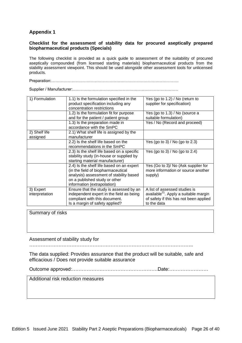# **Appendix 1**

#### **Checklist for the assessment of stability data for procured aseptically prepared biopharmaceutical products (Specials)**

The following checklist is provided as a quick guide to assessment of the suitability of procured aseptically compounded (from licensed starting materials) biopharmaceutical products from the stability assessment viewpoint. This should be used alongside other assessment tools for unlicensed products.

Preparation:………………………………………………………………………………….

Supplier / Manufacturer:……………………………………………………………………

| 1) Formulation | 1.1) Is the formulation specified in the<br>product specification including any<br>concentration restrictions | Yes (go to 1.2) / No (return to<br>supplier for specification) |
|----------------|---------------------------------------------------------------------------------------------------------------|----------------------------------------------------------------|
|                | 1.2) Is the formulation fit for purpose                                                                       | Yes (go to 1.3) / No (source a                                 |
|                |                                                                                                               |                                                                |
|                | and for the patient / patient group                                                                           | suitable formulation)                                          |
|                | 1.3) Is the preparation made in                                                                               | Yes / No (Record and proceed)                                  |
|                | accordance with the SmPC                                                                                      |                                                                |
| 2) Shelf life  | 2.1) What shelf life is assigned by the                                                                       |                                                                |
| assigned       | manufacturer                                                                                                  |                                                                |
|                | 2.2) Is the shelf life based on the                                                                           | Yes (go to 3) / No (go to 2.3)                                 |
|                | recommendations in the SmPC                                                                                   |                                                                |
|                | 2.3) Is the shelf life based on a specific                                                                    | Yes (go to 3) / No (go to 2.4)                                 |
|                | stability study (in-house or supplied by                                                                      |                                                                |
|                | starting material manufacturer)                                                                               |                                                                |
|                | 2.4) Is the shelf life based on an expert                                                                     | Yes (Go to 3)/ No (Ask supplier for                            |
|                | (in the field of biopharmaceutical                                                                            | more information or source another                             |
|                | analysis) assessment of stability based                                                                       | supply)                                                        |
|                | on a published study or other                                                                                 |                                                                |
|                | information (extrapolation)                                                                                   |                                                                |
| 3) Expert      | Ensure that the study is assessed by an                                                                       | A list of assessed studies is                                  |
| interpretation | independent expert in the field as being                                                                      | available <sup>21</sup> . Apply a suitable margin              |
|                | compliant with this document.                                                                                 | of safety if this has not been applied                         |
|                | Is a margin of safety applied?                                                                                | to the data                                                    |

Summary of risks

Assessment of stability study for

 $\mathcal{L}^{(n)}$ 

The data supplied: Provides assurance that the product will be suitable, safe and efficacious / Does not provide suitable assurance

Outcome approved:……………….…………………………….Date:……………………

Additional risk reduction measures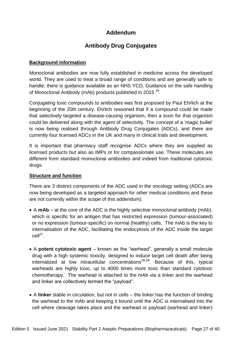# **Addendum**

# **Antibody Drug Conjugates**

#### **Background information**

Monoclonal antibodies are now fully established in medicine across the developed world. They are used to treat a broad range of conditions and are generally safe to handle; there is guidance available as an NHS YCD, Guidance on the safe handling of Monoclonal Antibody (mAb) products published in 2015<sup>26</sup>.

Conjugating toxic compounds to antibodies was first proposed by Paul Ehrlich at the beginning of the 20th century. Ehrlich reasoned that if a compound could be made that selectively targeted a disease-causing organism, then a toxin for that organism could be delivered along with the agent of selectivity. The concept of a 'magic bullet' is now being realised through Antibody Drug Conjugates (ADCs), and there are currently four licensed ADCs in the UK and many in clinical trials and development.

It is important that pharmacy staff recognise ADCs where they are supplied as licensed products but also as IMPs or for compassionate use. These molecules are different from standard monoclonal antibodies and indeed from traditional cytotoxic drugs.

#### **Structure and function**

There are 3 distinct components of the ADC used in the oncology setting (ADCs are now being developed as a targeted approach for other medical conditions and these are not currently within the scope of this addendum):

- A **mAb** at the core of the ADC is the highly selective monoclonal antibody (mAb), which is specific for an antigen that has restricted expression (tumour-associated) or no expression (tumour-specific) on normal (healthy) cells. The mAb is the key to internalisation of the ADC, facilitating the endocytosis of the ADC inside the target  $cell<sup>27</sup>$ .
- A **potent cytotoxic agent** known as the "warhead", generally a small molecule drug with a high systemic toxicity, designed to induce target cell death after being internalized at low intracellular concentrations<sup>28,29</sup>. Because of this, typical warheads are highly toxic, up to 4000 times more toxic than standard cytotoxic chemotherapy. The warhead is attached to the mAb via a linker and the warhead and linker are collectively termed the "payload".
- A **linker** stable in circulation, but not in cells the linker has the function of binding the warhead to the mAb and keeping it bound until the ADC is internalised into the cell where cleavage takes place and the warhead or payload (warhead and linker)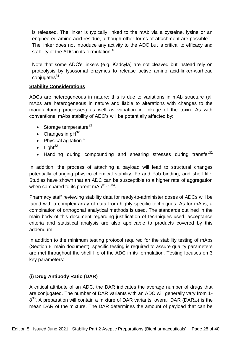is released. The linker is typically linked to the mAb via a cysteine, lysine or an engineered amino acid residue, although other forms of attachment are possible $^{30}$ . The linker does not introduce any activity to the ADC but is critical to efficacy and stability of the ADC in its formulation $^{30}$ .

Note that some ADC's linkers (e.g. Kadcyla) are not cleaved but instead rely on proteolysis by lysosomal enzymes to release active amino acid-linker-warhead conjugates<sup>31</sup>.

#### **Stability Considerations**

ADCs are heterogeneous in nature; this is due to variations in mAb structure (all mAbs are heterogeneous in nature and liable to alterations with changes to the manufacturing processes) as well as variation in linkage of the toxin. As with conventional mAbs stability of ADC's will be potentially affected by:

- $\bullet$  Storage temperature<sup>32</sup>
- Changes in  $pH^{32}$
- Physical agitation $32$
- $\bullet$  Light<sup>32</sup>
- Handling during compounding and shearing stresses during transfer<sup>32</sup>

In addition, the process of attaching a payload will lead to structural changes potentially changing physico-chemical stability, Fc and Fab binding, and shelf life. Studies have shown that an ADC can be susceptible to a higher rate of aggregation when compared to its parent mAb $^{31,33,34}$ .

Pharmacy staff reviewing stability data for ready-to-administer doses of ADCs will be faced with a complex array of data from highly specific techniques. As for mAbs, a combination of orthogonal analytical methods is used. The standards outlined in the main body of this document regarding justification of techniques used, acceptance criteria and statistical analysis are also applicable to products covered by this addendum.

In addition to the minimum testing protocol required for the stability testing of mAbs (Section 6, main document), specific testing is required to assure quality parameters are met throughout the shelf life of the ADC in its formulation. Testing focuses on 3 key parameters:

# **(i) Drug Antibody Ratio (DAR)**

A critical attribute of an ADC, the DAR indicates the average number of drugs that are conjugated. The number of DAR variants with an ADC will generally vary from 1-  $8^{35}$ . A preparation will contain a mixture of DAR variants; overall DAR (DAR<sub>av</sub>) is the mean DAR of the mixture. The DAR determines the amount of payload that can be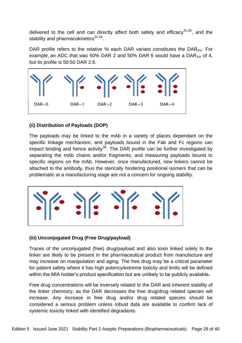delivered to the cell and can directly affect both safety and efficacy $31,36$ , and the stability and pharmacokinetics<sup>31,34</sup>.

DAR profile refers to the relative % each DAR variant constitutes the DAR<sub>AV</sub>. For example, an ADC that was 50% DAR 2 and 50% DAR 6 would have a  $DAR_{AV}$  of 4, but its profile is 50:50 DAR 2:6.



# **(ii) Distribution of Payloads (DOP)**

The payloads may be linked to the mAb in a variety of places dependant on the specific linkage mechanism, and payloads bound in the Fab and Fc regions can impact binding and hence activity<sup>30</sup>. The DAR profile can be further investigated by separating the mAb chains and/or fragments, and measuring payloads bound to specific regions on the mAb. However, once manufactured, new linkers cannot be attached to the antibody, thus the sterically hindering positional isomers that can be problematic at a manufacturing stage are not a concern for ongoing stability.



# **(iii) Unconjugated Drug (Free Drug/payload)**

Traces of the unconjugated (free) drug/payload and also toxin linked solely to the linker are likely to be present in the pharmaceutical product from manufacture and may increase on manipulation and aging. The free drug may be a critical parameter for patient safety where it has high potency/extreme toxicity and limits will be defined within the MIA holder's product specification but are unlikely to be publicly available**.**

Free drug concentrations will be inversely related to the DAR and inherent stability of the linker chemistry, as the DAR decreases the free drug/drug related species will increase. Any increase in free drug and/or drug related species should be considered a serious problem unless robust data are available to confirm lack of systemic toxicity linked with identified degradants.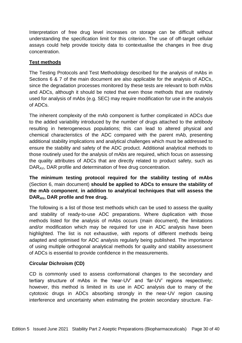Interpretation of free drug level increases on storage can be difficult without understanding the specification limit for this criterion. The use of off-target cellular assays could help provide toxicity data to contextualise the changes in free drug concentration.

# **Test methods**

The Testing Protocols and Test Methodology described for the analysis of mAbs in Sections 6 & 7 of the main document are also applicable for the analysis of ADCs, since the degradation processes monitored by these tests are relevant to both mAbs and ADCs, although it should be noted that even those methods that are routinely used for analysis of mAbs (e.g. SEC) may require modification for use in the analysis of ADCs.

The inherent complexity of the mAb component is further complicated in ADCs due to the added variability introduced by the number of drugs attached to the antibody resulting in heterogeneous populations; this can lead to altered physical and chemical characteristics of the ADC compared with the parent mAb, presenting additional stability implications and analytical challenges which must be addressed to ensure the stability and safety of the ADC product. Additional analytical methods to those routinely used for the analysis of mAbs are required, which focus on assessing the quality attributes of ADCs that are directly related to product safety, such as DAR<sub>AV</sub>, DAR profile and determination of free drug concentration.

# **The minimum testing protocol required for the stability testing of mAbs** (Section 6, main document) **should be applied to ADCs to ensure the stability of the mAb component**, **in addition to analytical techniques that will assess the DARAV, DAR profile and free drug.**

The following is a list of those test methods which can be used to assess the quality and stability of ready-to-use ADC preparations. Where duplication with those methods listed for the analysis of mAbs occurs (main document), the limitations and/or modification which may be required for use in ADC analysis have been highlighted. The list is not exhaustive, with reports of different methods being adapted and optimised for ADC analysis regularly being published. The importance of using multiple orthogonal analytical methods for quality and stability assessment of ADCs is essential to provide confidence in the measurements.

# **Circular Dichroism (CD)**

CD is commonly used to assess conformational changes to the secondary and tertiary structure of mAbs in the 'near-UV' and 'far-UV' regions respectively; however, this method is limited in its use in ADC analysis due to many of the cytotoxic drugs in ADCs absorbing strongly in the near-UV region causing interference and uncertainty when estimating the protein secondary structure. Far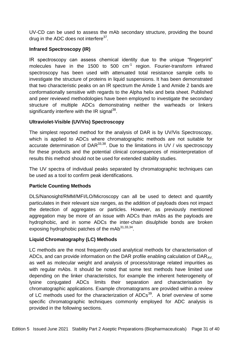UV-CD can be used to assess the mAb secondary structure, providing the bound drug in the ADC does not interfere<sup>37</sup>.

# **Infrared Spectroscopy (IR)**

IR spectroscopy can assess chemical identity due to the unique "fingerprint" molecules have in the 1500 to 500  $cm^{-1}$  region. Fourier-transform infrared spectroscopy has been used with attenuated total resistance sample cells to investigate the structure of proteins in liquid suspensions. It has been demonstrated that two characteristic peaks on an IR spectrum the Amide 1 and Amide 2 bands are conformationally sensitive with regards to the Alpha helix and beta sheet. Published and peer reviewed methodologies have been employed to investigate the secondary structure of multiple ADCs demonstrating neither the warheads or linkers significantly interfere with the IR signal<sup>38</sup>.

# **Ultraviolet-Visible (UV/Vis) Spectroscopy**

The simplest reported method for the analysis of DAR is by UV/Vis Spectroscopy, which is applied to ADCs where chromatographic methods are not suitable for accurate determination of DAR $^{33,38}$ . Due to the limitations in UV / vis spectroscopy for these products and the potential clinical consequences of misinterpretation of results this method should not be used for extended stability studies.

The UV spectra of individual peaks separated by chromatographic techniques can be used as a tool to confirm peak identifications.

# **Particle Counting Methods**

DLS/Nanosight/RMM/MFI/LO/Microscopy can all be used to detect and quantify particulates in their relevant size ranges, as the addition of payloads does not impact the detection of aggregates or particles. However, as previously mentioned aggregation may be more of an issue with ADCs than mAbs as the payloads are hydrophobic, and in some ADCs the inter-chain disulphide bonds are broken exposing hydrophobic patches of the mAb $^{31,33,34}$ .

# **Liquid Chromatography (LC) Methods**

LC methods are the most frequently used analytical methods for characterisation of ADCs, and can provide information on the DAR profile enabling calculation of  $DAR_{AV}$ as well as molecular weight and analysis of process/storage related impurities as with regular mAbs. It should be noted that some test methods have limited use depending on the linker characteristics, for example the inherent heterogeneity of lysine conjugated ADCs limits their separation and characterisation by chromatographic applications. Example chromatograms are provided within a review of LC methods used for the characterization of  $\text{ADC}^{39}$ . A brief overview of some specific chromatographic techniques commonly employed for ADC analysis is provided in the following sections.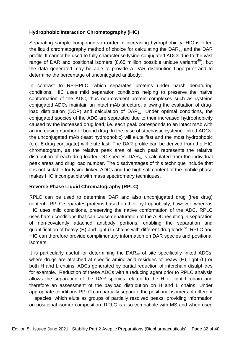# **Hydrophobic Interaction Chromatography (HIC)**

Separating sample components in order of increasing hydrophobicity, HIC is often the liquid chromatography method of choice for calculating the  $DAR_{av}$  and the DAR profile. It cannot be used to fully characterise lysine-conjugated ADCs due to the vast range of DAR and positional isomers (8.65 million possible unique variants<sup>40</sup>), but the data generated may be able to provide a DAR distribution fingerprint and to determine the percentage of unconjugated antibody.

In contrast to RP-HPLC, which separates proteins under harsh denaturing conditions, HIC uses mild separation conditions helping to preserve the native conformation of the ADC, thus non-covalent protein complexes such as cysteine conjugated ADCs maintain an intact mAb structure, allowing the evaluation of drugload distribution (DOP) and calculation of DAR<sub>av</sub>. Under optimal conditions, the conjugated species of the ADC are separated due to their increased hydrophobicity caused by the increased drug load, i.e. each peak corresponds to an intact mAb with an increasing number of bound drug. In the case of stochastic cysteine-linked ADCs, the unconjugated mAb (least hydrophobic) will elute first and the most hydrophobic (e.g. 8-drug conjugate) will elute last. The DAR profile can be derived from the HIC chromatogram, as the relative peak area of each peak represents the relative distribution of each drug-loaded DC species.  $DAR_{av}$  is calculated from the individual peak areas and drug load number. The disadvantages of this technique include that it is not suitable for lysine linked ADCs and the high salt content of the mobile phase makes HIC incompatible with mass spectrometry techniques.

# **Reverse Phase Liquid Chromatography (RPLC)**

RPLC can be used to determine DAR and also unconjugated drug (free drug) content. RPLC separates proteins based on their hydrophobicity; however, whereas HIC uses mild conditions, preserving the native conformation of the ADC, RPLC uses harsh conditions that can cause denaturation of the ADC resulting in separation of non-covalently attached antibody portions, enabling the separation and quantification of heavy (H) and light (L) chains with different drug loads $^{38}$ . RPLC and HIC can therefore provide complimentary information on DAR species and positional isomers.

It is particularly useful for determining the  $DAR_{av}$  of site specifically-linked ADCs, where drugs are attached at specific amino acid residues of heavy (H), light (L) or both H and L chains; ADCs generated by partial reduction of interchain disulphides for example. Reduction of these ADCs with a reducing agent prior to RPLC analysis allows the separation of the DAR species related to the H or light L chain and therefore an assessment of the payload distribution on H and L chains. Under appropriate conditions RPLC can partially separate the positional isomers of different H species, which elute as groups of partially resolved peaks, providing information on positional isomer composition. RPLC is also compatible with MS and when used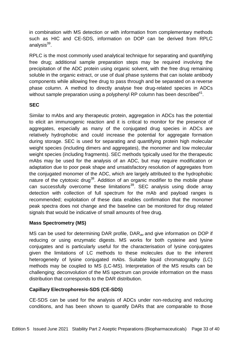in combination with MS detection or with information from complementary methods such as HIC and CE-SDS, information on DOP can be derived from RPLC analysis<sup>39</sup>.

RPLC is the most commonly used analytical technique for separating and quantifying free drug; additional sample preparation steps may be required involving the precipitation of the ADC protein using organic solvent, with the free drug remaining soluble in the organic extract, or use of dual phase systems that can isolate antibody components while allowing free drug to pass through and be separated on a reverse phase column. A method to directly analyse free drug-related species in ADCs without sample preparation using a polyphenyl RP column has been described $41$ .

# **SEC**

Similar to mAbs and any therapeutic protein, aggregation in ADCs has the potential to elicit an immunogenic reaction and it is critical to monitor for the presence of aggregates, especially as many of the conjugated drug species in ADCs are relatively hydrophobic and could increase the potential for aggregate formation during storage. SEC is used for separating and quantifying protein high molecular weight species (including dimers and aggregates), the monomer and low molecular weight species (including fragments). SEC methods typically used for the therapeutic mAbs may be used for the analysis of an ADC, but may require modification or adaptation due to poor peak shape and unsatisfactory resolution of aggregates from the conjugated monomer of the ADC, which are largely attributed to the hydrophobic nature of the cytotoxic drug<sup>38</sup>. Addition of an organic modifier to the mobile phase can successfully overcome these limitations<sup>39</sup>. SEC analysis using diode array detection with collection of full spectrum for the mAb and payload ranges is recommended; exploitation of these data enables confirmation that the monomer peak spectra does not change and the baseline can be monitored for drug related signals that would be indicative of small amounts of free drug.

# **Mass Spectrometry (MS)**

MS can be used for determining DAR profile,  $DAR_{av}$  and give information on DOP if reducing or using enzymatic digests. MS works for both cysteine and lysine conjugates and is particularly useful for the characterisation of lysine conjugates given the limitations of LC methods to these molecules due to the inherent heterogeneity of lysine conjugated mAbs. Suitable liquid chromatography (LC) methods may be coupled to MS (LC-MS). Interpretation of the MS results can be challenging; deconvolution of the MS spectrum can provide information on the mass distribution that corresponds to the DAR distribution.

# **Capillary Electrophoresis-SDS (CE-SDS)**

CE-SDS can be used for the analysis of ADCs under non-reducing and reducing conditions, and has been shown to quantify DARs that are comparable to those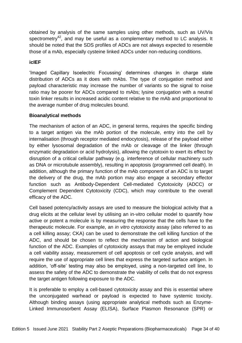obtained by analysis of the same samples using other methods, such as UV/Vis spectrometry<sup>42</sup>, and may be useful as a complementary method to LC analysis. It should be noted that the SDS profiles of ADCs are not always expected to resemble those of a mAb, especially cysteine linked ADCs under non-reducing conditions.

## **icIEF**

'Imaged Capillary Isoelectric Focussing' determines changes in charge state distribution of ADCs as it does with mAbs. The type of conjugation method and payload characteristic may increase the number of variants so the signal to noise ratio may be poorer for ADCs compared to mAbs; lysine conjugation with a neutral toxin linker results in increased acidic content relative to the mAb and proportional to the average number of drug molecules bound.

# **Bioanalytical methods**

The mechanism of action of an ADC, in general terms, requires the specific binding to a target antigen via the mAb portion of the molecule, entry into the cell by internalisation (through receptor mediated endocytosis), release of the payload either by either lysosomal degradation of the mAb or cleavage of the linker (through enzymatic degradation or acid hydrolysis), allowing the cytotoxin to exert its effect by disruption of a critical cellular pathway (e.g. interference of cellular machinery such as DNA or microtubule assembly), resulting in apoptosis (programmed cell death). In addition, although the primary function of the mAb component of an ADC is to target the delivery of the drug, the mAb portion may also engage a secondary effector function such as Antibody-Dependent Cell-mediated Cytotoxicity (ADCC) or Complement Dependent Cytotoxicity (CDC), which may contribute to the overall efficacy of the ADC.

Cell based potency/activity assays are used to measure the biological activity that a drug elicits at the cellular level by utilising an in-vitro cellular model to quantify how active or potent a molecule is by measuring the response that the cells have to the therapeutic molecule. For example, an *in vitro* cytotoxicity assay (also referred to as a cell killing assay; CKA) can be used to demonstrate the cell killing function of the ADC, and should be chosen to reflect the mechanism of action and biological function of the ADC. Examples of cytotoxicity assays that may be employed include a cell viability assay, measurement of cell apoptosis or cell cycle analysis, and will require the use of appropriate cell lines that express the targeted surface antigen. In addition, 'off-site' testing may also be employed, using a non-targeted cell line, to assess the safety of the ADC to demonstrate the viability of cells that do not express the target antigen following exposure to the ADC.

It is preferable to employ a cell-based cytotoxicity assay and this is essential where the unconjugated warhead or payload is expected to have systemic toxicity. Although binding assays (using appropriate analytical methods such as Enzyme-Linked Immunosorbent Assay (ELISA), Surface Plasmon Resonance (SPR) or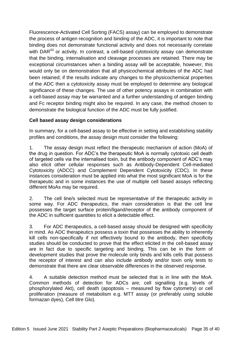Fluorescence-Activated Cell Sorting (FACS) assay) can be employed to demonstrate the process of antigen recognition and binding of the ADC, it is important to note that binding does not demonstrate functional activity and does not necessarily correlate with DAR<sup>43</sup> or activity. In contrast, a cell-based cytotoxicity assay can demonstrate that the binding, internalisation and cleavage processes are retained. There may be exceptional circumstances when a binding assay will be acceptable, however, this would only be on demonstration that all physicochemical attributes of the ADC had been retained; if the results indicate any changes to the physicochemical properties of the ADC then a cytotoxicity assay must be employed to determine any biological significance of these changes. The use of other potency assays in combination with a cell-based assay may be warranted and a further understanding of antigen binding and Fc receptor binding might also be required. In any case, the method chosen to demonstrate the biological function of the ADC must be fully justified.

# **Cell based assay design considerations**

In summary, for a cell-based assay to be effective in setting and establishing stability profiles and conditions, the assay design must consider the following:

1. The assay design must reflect the therapeutic mechanism of action (MoA) of the drug in question. For ADC's the therapeutic MoA is normally cytotoxic cell death of targeted cells via the internalised toxin, but the antibody component of ADC's may also elicit other cellular responses such as Antibody-Dependent Cell-mediated Cytotoxicity (ADCC) and Complement Dependent Cytotoxicity (CDC). In these instances consideration must be applied into what the most significant MoA is for the therapeutic and in some instances the use of multiple cell based assays reflecting different MoAs may be required.

2. The cell line/s selected must be representative of the therapeutic activity in some way. For ADC therapeutics, the main consideration is that the cell line possesses the target surface protein/ligand/receptor of the antibody component of the ADC in sufficient quantities to elicit a detectable effect.

3. For ADC therapeutics, a cell-based assay should be designed with specificity in mind. As ADC therapeutics possess a toxin that possesses the ability to inherently kill cells non-specifically if not effectively bound to the antibody, then specificity studies should be conducted to prove that the effect elicited in the cell-based assay are in fact due to specific targeting and binding. This can be in the form of development studies that prove the molecule only binds and kills cells that possess the receptor of interest and can also include antibody and/or toxin only tests to demonstrate that there are clear observable differences in the observed response.

4. A suitable detection method must be selected that is in line with the MoA. Common methods of detection for ADCs are; cell signalling (e.g. levels of phosphorylated Akt), cell death (apoptosis – measured by flow cytometry) or cell proliferation (measure of metabolism e.g. MTT assay (or preferably using soluble formazan dyes), Cell titre Glo).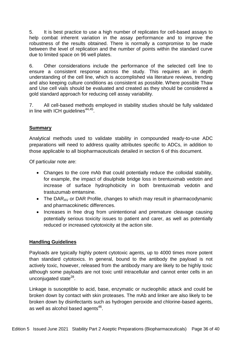5. It is best practice to use a high number of replicates for cell-based assays to help combat inherent variation in the assay performance and to improve the robustness of the results obtained. There is normally a compromise to be made between the level of replication and the number of points within the standard curve due to limited space on 96 well plates.

6. Other considerations include the performance of the selected cell line to ensure a consistent response across the study. This requires an in depth understanding of the cell line, which is accomplished via literature reviews, trending and also keeping culture conditions as consistent as possible. Where possible Thaw and Use cell vials should be evaluated and created as they should be considered a gold standard approach for reducing cell assay variability.

7. All cell-based methods employed in stability studies should be fully validated in line with ICH guidelines $44,45$ .

# **Summary**

Analytical methods used to validate stability in compounded ready-to-use ADC preparations will need to address quality attributes specific to ADCs, in addition to those applicable to all biopharmaceuticals detailed in section 6 of this document.

Of particular note are:

- Changes to the core mAb that could potentially reduce the colloidal stability, for example, the impact of disulphide bridge loss in brentuximab vedotin and increase of surface hydrophobicity in both brentuximab vedotin and trastuzumab emtansine.
- The DAR<sub>AV</sub> or DAR Profile, changes to which may result in pharmacodynamic and pharmacokinetic differences.
- Increases in free drug from unintentional and premature cleavage causing potentially serious toxicity issues to patient and carer, as well as potentially reduced or increased cytotoxicity at the action site.

# **Handling Guidelines**

Payloads are typically highly potent cytotoxic agents, up to 4000 times more potent than standard cytotoxics. In general, bound to the antibody the payload is not actively toxic, however, released from the antibody many are likely to be highly toxic although some payloads are not toxic until intracellular and cannot enter cells in an unconjugated state<sup>28</sup>.

Linkage is susceptible to acid, base, enzymatic or nucleophilic attack and could be broken down by contact with skin proteases. The mAb and linker are also likely to be broken down by disinfectants such as hydrogen peroxide and chlorine-based agents, as well as alcohol based agents<sup>46</sup>.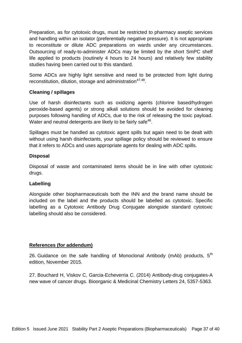Preparation, as for cytotoxic drugs, must be restricted to pharmacy aseptic services and handling within an isolator (preferentially negative pressure). It is not appropriate to reconstitute or dilute ADC preparations on wards under any circumstances. Outsourcing of ready-to-administer ADCs may be limited by the short SmPC shelf life applied to products (routinely 4 hours to 24 hours) and relatively few stability studies having been carried out to this standard.

Some ADCs are highly light sensitive and need to be protected from light during reconstitution, dilution, storage and administration<sup>47,48</sup>.

#### **Cleaning / spillages**

Use of harsh disinfectants such as oxidizing agents (chlorine based/hydrogen peroxide-based agents) or strong alkali solutions should be avoided for cleaning purposes following handling of ADCs, due to the risk of releasing the toxic payload. Water and neutral detergents are likely to be fairly safe $46$ .

Spillages must be handled as cytotoxic agent spills but again need to be dealt with without using harsh disinfectants, your spillage policy should be reviewed to ensure that it refers to ADCs and uses appropriate agents for dealing with ADC spills.

#### **Disposal**

Disposal of waste and contaminated items should be in line with other cytotoxic drugs.

# **Labelling**

Alongside other biopharmaceuticals both the INN and the brand name should be included on the label and the products should be labelled as cytotoxic. Specific labelling as a Cytotoxic Antibody Drug Conjugate alongside standard cytotoxic labelling should also be considered.

# **References (for addendum)**

26. Guidance on the safe handling of Monoclonal Antibody (mAb) products,  $5<sup>th</sup>$ edition, November 2015.

27. Bouchard H, Viskov C, Garcia-Echeverria C. (2014) Antibody-drug conjugates-A new wave of cancer drugs. Bioorganic & Medicinal Chemistry Letters 24, 5357-5363.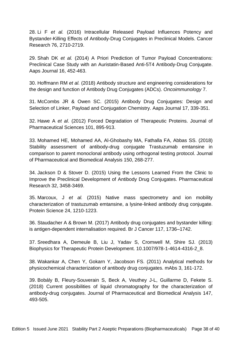28. Li F *et al.* (2016) Intracellular Released Payload Influences Potency and Bystander-Killing Effects of Antibody-Drug Conjugates in Preclinical Models. Cancer Research 76, 2710-2719.

29. Shah DK *et al.* (2014) A Priori Prediction of Tumor Payload Concentrations: Preclinical Case Study with an Auristatin-Based Anti-5T4 Antibody-Drug Conjugate. Aaps Journal 16, 452-463.

30. Hoffmann RM *et al.* (2018) Antibody structure and engineering considerations for the design and function of Antibody Drug Conjugates (ADCs). *Oncoimmunology* 7.

31. McCombs JR & Owen SC. (2015) Antibody Drug Conjugates: Design and Selection of Linker, Payload and Conjugation Chemistry. Aaps Journal 17, 339-351.

32. Hawe A *et al*. (2012) Forced Degradation of Therapeutic Proteins. Journal of Pharmaceutical Sciences 101, 895-913.

33. Mohamed HE, Mohamed AA, Al-Ghobashy MA, Fathalla FA, Abbas SS. (2018) Stability assessment of antibody-drug conjugate Trastuzumab emtansine in comparison to parent monoclonal antibody using orthogonal testing protocol. Journal of Pharmaceutical and Biomedical Analysis 150, 268-277.

34. Jackson D & Stover D. (2015) Using the Lessons Learned From the Clinic to Improve the Preclinical Development of Antibody Drug Conjugates. Pharmaceutical Research 32, 3458-3469.

35. Marcoux, J *et al.* (2015) Native mass spectrometry and ion mobility characterization of trastuzumab emtansine, a lysine-linked antibody drug conjugate. Protein Science 24, 1210-1223.

36. Staudacher A & Brown M. (2017) Antibody drug conjugates and bystander killing: is antigen-dependent internalisation required. Br J Cancer 117, 1736–1742.

37. Sreedhara A, Demeule B, Liu J, Yadav S, Cromwell M, Shire SJ. (2013) Biophysics for Therapeutic Protein Development. 10.1007/978-1-4614-4316-2 8.

38. Wakankar A, Chen Y, Gokarn Y, Jacobson FS. (2011) Analytical methods for physicochemical characterization of antibody drug conjugates. mAbs 3, 161-172.

39. Bobály B, Fleury-Souverain S, Beck A, Veuthey J-L, Guillarme D, Fekete S. (2018) Current possibilities of liquid chromatography for the characterization of antibody-drug conjugates. Journal of Pharmaceutical and Biomedical Analysis 147, 493-505.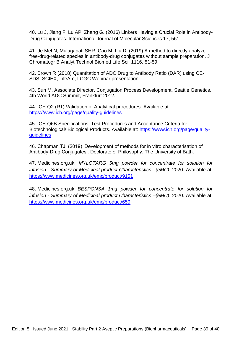40. Lu J, Jiang F, Lu AP, Zhang G. (2016) Linkers Having a Crucial Role in Antibody-Drug Conjugates. International Journal of Molecular Sciences 17, 561.

41. de Mel N, Mulagapati SHR, Cao M, Liu D. (2019) A method to directly analyze free-drug-related species in antibody-drug conjugates without sample preparation. J Chromatogr B Analyt Technol Biomed Life Sci. 1116, 51-59.

42. Brown R (2018) Quantitation of ADC Drug to Antibody Ratio (DAR) using CE-SDS. SCIEX, LifeArc, LCGC Webinar presentation.

43. Sun M, Associate Director, Conjugation Process Development, Seattle Genetics, 4th World ADC Summit, Frankfurt 2012.

44. ICH Q2 (R1) Validation of Analytical procedures. Available at: <https://www.ich.org/page/quality-guidelines>

45. ICH Q6B Specifications: Test Procedures and Acceptance Criteria for Biotechnological/ Biological Products. Available at: [https://www.ich.org/page/quality](https://www.ich.org/page/quality-guidelines)[guidelines](https://www.ich.org/page/quality-guidelines)

46. Chapman TJ. (2019) 'Development of methods for in vitro characterisation of Antibody-Drug Conjugates'. Doctorate of Philosophy. The University of Bath.

47. Medicines.org.uk. *MYLOTARG 5mg powder for concentrate for solution for infusion - Summary of Medicinal product Characteristics –(eMC)*. 2020. Available at: <https://www.medicines.org.uk/emc/product/9151>

48. Medicines.org.uk *BESPONSA 1mg powder for concentrate for solution for infusion - Summary of Medicinal product Characteristics –(eMC)*. 2020. Available at: <https://www.medicines.org.uk/emc/product/650>